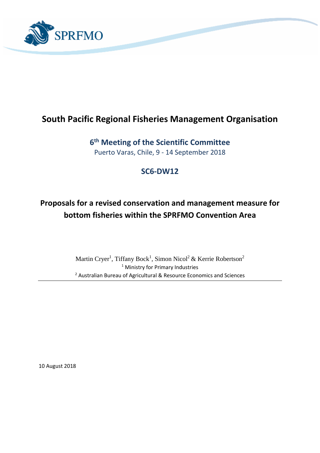

# **South Pacific Regional Fisheries Management Organisation**

**6 th Meeting of the Scientific Committee**  Puerto Varas, Chile, 9 - 14 September 2018

## **SC6-DW12**

# **Proposals for a revised conservation and management measure for bottom fisheries within the SPRFMO Convention Area**

Martin Cryer<sup>1</sup>, Tiffany Bock<sup>1</sup>, Simon Nicol<sup>2</sup> & Kerrie Robertson<sup>2</sup> <sup>1</sup> Ministry for Primary Industries <sup>2</sup> Australian Bureau of Agricultural & Resource Economics and Sciences

10 August 2018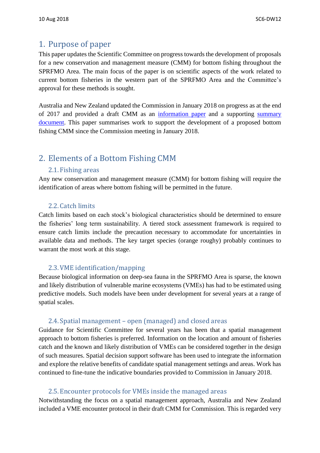## 1. Purpose of paper

This paper updates the Scientific Committee on progress towards the development of proposals for a new conservation and management measure (CMM) for bottom fishing throughout the SPRFMO Area. The main focus of the paper is on scientific aspects of the work related to current bottom fisheries in the western part of the SPRFMO Area and the Committee's approval for these methods is sought.

Australia and New Zealand updated the Commission in January 2018 on progress as at the end of 2017 and provided a draft CMM as an [information paper](http://www.sprfmo.int/assets/2018-COMM6/COMM6-INF09-NZ-bottom-Fishing.pdf) and a supporting summary [document.](http://www.sprfmo.int/assets/2018-COMM6/COMM6-INF05-rev1-New-Zealand-Background-paper-covering-the-new-bottom-fishing-CMM.pdf) This paper summarises work to support the development of a proposed bottom fishing CMM since the Commission meeting in January 2018.

# 2. Elements of a Bottom Fishing CMM

#### 2.1. Fishing areas

Any new conservation and management measure (CMM) for bottom fishing will require the identification of areas where bottom fishing will be permitted in the future.

#### 2.2. Catch limits

Catch limits based on each stock's biological characteristics should be determined to ensure the fisheries' long term sustainability. A tiered stock assessment framework is required to ensure catch limits include the precaution necessary to accommodate for uncertainties in available data and methods. The key target species (orange roughy) probably continues to warrant the most work at this stage.

#### 2.3.VME identification/mapping

Because biological information on deep-sea fauna in the SPRFMO Area is sparse, the known and likely distribution of vulnerable marine ecosystems (VMEs) has had to be estimated using predictive models. Such models have been under development for several years at a range of spatial scales.

#### 2.4. Spatial management – open (managed) and closed areas

Guidance for Scientific Committee for several years has been that a spatial management approach to bottom fisheries is preferred. Information on the location and amount of fisheries catch and the known and likely distribution of VMEs can be considered together in the design of such measures. Spatial decision support software has been used to integrate the information and explore the relative benefits of candidate spatial management settings and areas. Work has continued to fine-tune the indicative boundaries provided to Commission in January 2018.

#### 2.5. Encounter protocols for VMEs inside the managed areas

Notwithstanding the focus on a spatial management approach, Australia and New Zealand included a VME encounter protocol in their draft CMM for Commission. This is regarded very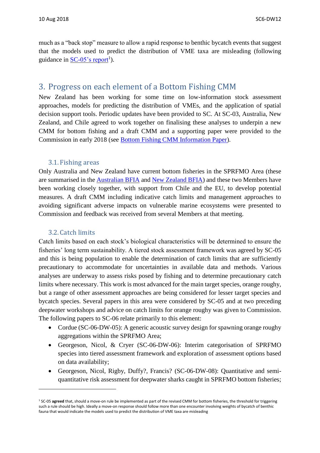much as a "back stop" measure to allow a rapid response to benthic bycatch events that suggest that the models used to predict the distribution of VME taxa are misleading (following guidance in <u>SC-05's report</u><sup>1</sup>).

### 3. Progress on each element of a Bottom Fishing CMM

New Zealand has been working for some time on low-information stock assessment approaches, models for predicting the distribution of VMEs, and the application of spatial decision support tools. Periodic updates have been provided to SC. At SC-03, Australia, New Zealand, and Chile agreed to work together on finalising these analyses to underpin a new CMM for bottom fishing and a draft CMM and a supporting paper were provided to the Commission in early 2018 (see [Bottom Fishing CMM Information Paper\)](http://www.sprfmo.int/assets/2018-COMM6/COMM6-INF05-rev1-New-Zealand-Background-paper-covering-the-new-bottom-fishing-CMM.pdf).

#### 3.1. Fishing areas

Only Australia and New Zealand have current bottom fisheries in the SPRFMO Area (these are summarised in the [Australian](http://www.sprfmo.int/assets/Meetings/Meetings-before-2013/Scientific-Working-Group/SWG-10-2011/SWG-10-DW-01a-Australian-BFIA-Final-Report.pdf) BFIA and [New Zealand BFIA\)](http://www.sprfmo.int/assets/Meetings/Meetings-before-2013/Scientific-Working-Group/SWG-06-2008/a-Miscellaneous-Documents/New-Zealand-Bottom-Fishery-Impact-Assessment-v1.3-2009-05-13.pdf) and these two Members have been working closely together, with support from Chile and the EU, to develop potential measures. A draft CMM including indicative catch limits and management approaches to avoiding significant adverse impacts on vulnerable marine ecosystems were presented to Commission and feedback was received from several Members at that meeting.

#### 3.2. Catch limits

**.** 

Catch limits based on each stock's biological characteristics will be determined to ensure the fisheries' long term sustainability. A tiered stock assessment framework was agreed by SC-05 and this is being population to enable the determination of catch limits that are sufficiently precautionary to accommodate for uncertainties in available data and methods. Various analyses are underway to assess risks posed by fishing and to determine precautionary catch limits where necessary. This work is most advanced for the main target species, orange roughy, but a range of other assessment approaches are being considered for lesser target species and bycatch species. Several papers in this area were considered by SC-05 and at two preceding deepwater workshops and advice on catch limits for orange roughy was given to Commission. The following papers to SC-06 relate primarily to this element:

- Cordue (SC-06-DW-05): A generic acoustic survey design for spawning orange roughy aggregations within the SPRFMO Area;
- Georgeson, Nicol, & Cryer (SC-06-DW-06): Interim categorisation of SPRFMO species into tiered assessment framework and exploration of assessment options based on data availability;
- Georgeson, Nicol, Rigby, Duffy?, Francis? (SC-06-DW-08): Quantitative and semiquantitative risk assessment for deepwater sharks caught in SPRFMO bottom fisheries;

<sup>&</sup>lt;sup>1</sup> SC-05 **agreed** that, should a move-on rule be implemented as part of the revised CMM for bottom fisheries, the threshold for triggering such a rule should be high. Ideally a move-on response should follow more than one encounter involving weights of bycatch of benthic fauna that would indicate the models used to predict the distribution of VME taxa are misleading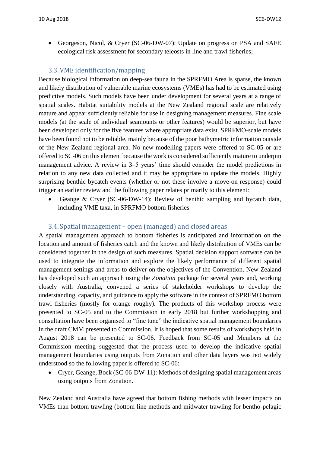• Georgeson, Nicol, & Cryer (SC-06-DW-07): Update on progress on PSA and SAFE ecological risk assessment for secondary teleosts in line and trawl fisheries;

#### 3.3.VME identification/mapping

Because biological information on deep-sea fauna in the SPRFMO Area is sparse, the known and likely distribution of vulnerable marine ecosystems (VMEs) has had to be estimated using predictive models. Such models have been under development for several years at a range of spatial scales. Habitat suitability models at the New Zealand regional scale are relatively mature and appear sufficiently reliable for use in designing management measures. Fine scale models (at the scale of individual seamounts or other features) would be superior, but have been developed only for the five features where appropriate data exist. SPRFMO-scale models have been found not to be reliable, mainly because of the poor bathymetric information outside of the New Zealand regional area. No new modelling papers were offered to SC-05 or are offered to SC-06 on this element because the work is considered sufficiently mature to underpin management advice. A review in 3–5 years' time should consider the model predictions in relation to any new data collected and it may be appropriate to update the models. Highly surprising benthic bycatch events (whether or not these involve a move-on response) could trigger an earlier review and the following paper relates primarily to this element:

• Geange & Cryer (SC-06-DW-14): Review of benthic sampling and bycatch data, including VME taxa, in SPRFMO bottom fisheries

#### 3.4. Spatial management – open (managed) and closed areas

A spatial management approach to bottom fisheries is anticipated and information on the location and amount of fisheries catch and the known and likely distribution of VMEs can be considered together in the design of such measures. Spatial decision support software can be used to integrate the information and explore the likely performance of different spatial management settings and areas to deliver on the objectives of the Convention. New Zealand has developed such an approach using the *Zonation* package for several years and, working closely with Australia, convened a series of stakeholder workshops to develop the understanding, capacity, and guidance to apply the software in the context of SPRFMO bottom trawl fisheries (mostly for orange roughy). The products of this workshop process were presented to SC-05 and to the Commission in early 2018 but further workshopping and consultation have been organised to "fine tune" the indicative spatial management boundaries in the draft CMM presented to Commission. It is hoped that some results of workshops held in August 2018 can be presented to SC-06. Feedback from SC-05 and Members at the Commission meeting suggested that the process used to develop the indicative spatial management boundaries using outputs from Zonation and other data layers was not widely understood so the following paper is offered to SC-06:

• Cryer, Geange, Bock (SC-06-DW-11): Methods of designing spatial management areas using outputs from Zonation.

New Zealand and Australia have agreed that bottom fishing methods with lesser impacts on VMEs than bottom trawling (bottom line methods and midwater trawling for bentho-pelagic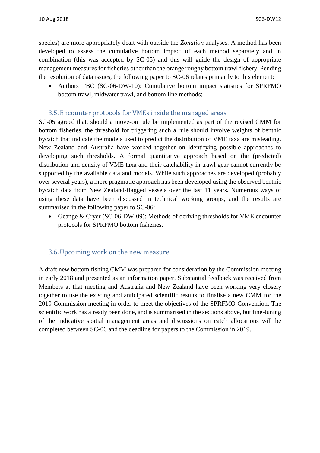species) are more appropriately dealt with outside the *Zonation* analyses. A method has been developed to assess the cumulative bottom impact of each method separately and in combination (this was accepted by SC-05) and this will guide the design of appropriate management measures for fisheries other than the orange roughy bottom trawl fishery. Pending the resolution of data issues, the following paper to SC-06 relates primarily to this element:

• Authors TBC (SC-06-DW-10): Cumulative bottom impact statistics for SPRFMO bottom trawl, midwater trawl, and bottom line methods;

#### 3.5. Encounter protocols for VMEs inside the managed areas

SC-05 agreed that, should a move-on rule be implemented as part of the revised CMM for bottom fisheries, the threshold for triggering such a rule should involve weights of benthic bycatch that indicate the models used to predict the distribution of VME taxa are misleading. New Zealand and Australia have worked together on identifying possible approaches to developing such thresholds. A formal quantitative approach based on the (predicted) distribution and density of VME taxa and their catchability in trawl gear cannot currently be supported by the available data and models. While such approaches are developed (probably over several years), a more pragmatic approach has been developed using the observed benthic bycatch data from New Zealand-flagged vessels over the last 11 years. Numerous ways of using these data have been discussed in technical working groups, and the results are summarised in the following paper to SC-06:

Geange & Cryer (SC-06-DW-09): Methods of deriving thresholds for VME encounter protocols for SPRFMO bottom fisheries.

#### 3.6.Upcoming work on the new measure

A draft new bottom fishing CMM was prepared for consideration by the Commission meeting in early 2018 and presented as an information paper. Substantial feedback was received from Members at that meeting and Australia and New Zealand have been working very closely together to use the existing and anticipated scientific results to finalise a new CMM for the 2019 Commission meeting in order to meet the objectives of the SPRFMO Convention. The scientific work has already been done, and is summarised in the sections above, but fine-tuning of the indicative spatial management areas and discussions on catch allocations will be completed between SC-06 and the deadline for papers to the Commission in 2019.